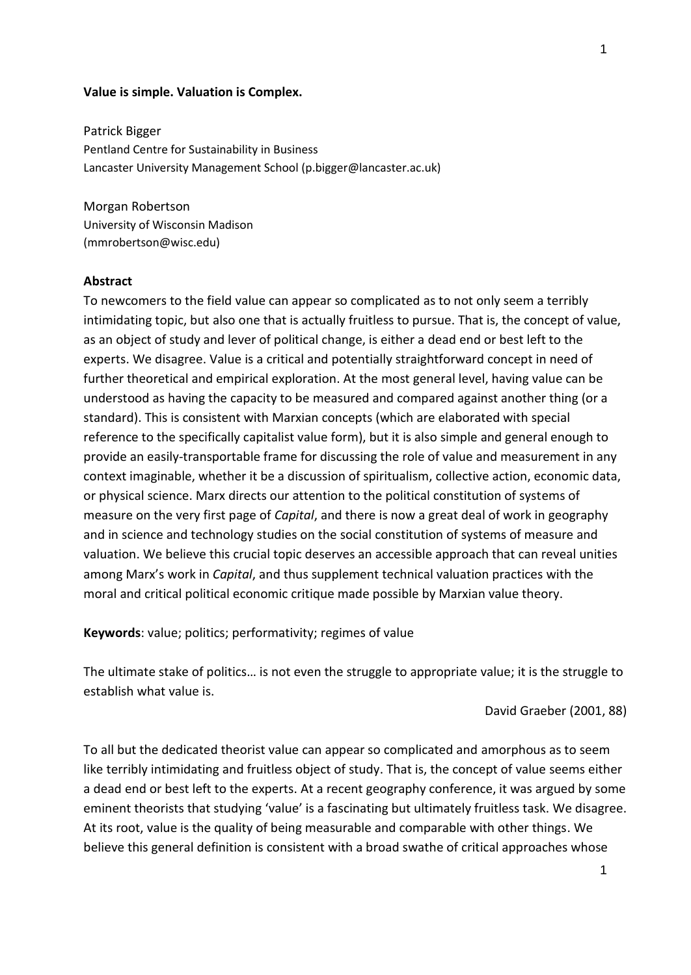#### **Value is simple. Valuation is Complex.**

Patrick Bigger Pentland Centre for Sustainability in Business Lancaster University Management School (p.bigger@lancaster.ac.uk)

Morgan Robertson University of Wisconsin Madison (mmrobertson@wisc.edu)

# **Abstract**

To newcomers to the field value can appear so complicated as to not only seem a terribly intimidating topic, but also one that is actually fruitless to pursue. That is, the concept of value, as an object of study and lever of political change, is either a dead end or best left to the experts. We disagree. Value is a critical and potentially straightforward concept in need of further theoretical and empirical exploration. At the most general level, having value can be understood as having the capacity to be measured and compared against another thing (or a standard). This is consistent with Marxian concepts (which are elaborated with special reference to the specifically capitalist value form), but it is also simple and general enough to provide an easily-transportable frame for discussing the role of value and measurement in any context imaginable, whether it be a discussion of spiritualism, collective action, economic data, or physical science. Marx directs our attention to the political constitution of systems of measure on the very first page of *Capital*, and there is now a great deal of work in geography and in science and technology studies on the social constitution of systems of measure and valuation. We believe this crucial topic deserves an accessible approach that can reveal unities among Marx's work in *Capital*, and thus supplement technical valuation practices with the moral and critical political economic critique made possible by Marxian value theory.

**Keywords**: value; politics; performativity; regimes of value

The ultimate stake of politics… is not even the struggle to appropriate value; it is the struggle to establish what value is.

David Graeber (2001, 88)

To all but the dedicated theorist value can appear so complicated and amorphous as to seem like terribly intimidating and fruitless object of study. That is, the concept of value seems either a dead end or best left to the experts. At a recent geography conference, it was argued by some eminent theorists that studying 'value' is a fascinating but ultimately fruitless task. We disagree. At its root, value is the quality of being measurable and comparable with other things. We believe this general definition is consistent with a broad swathe of critical approaches whose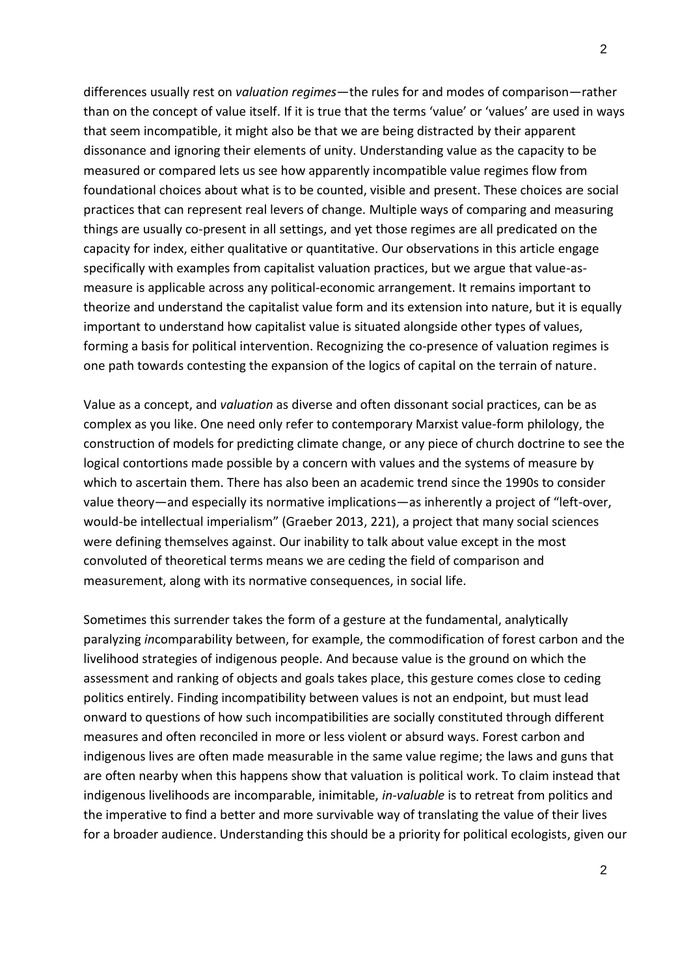differences usually rest on *valuation regimes*—the rules for and modes of comparison—rather than on the concept of value itself. If it is true that the terms 'value' or 'values' are used in ways that seem incompatible, it might also be that we are being distracted by their apparent dissonance and ignoring their elements of unity. Understanding value as the capacity to be measured or compared lets us see how apparently incompatible value regimes flow from foundational choices about what is to be counted, visible and present. These choices are social practices that can represent real levers of change. Multiple ways of comparing and measuring things are usually co-present in all settings, and yet those regimes are all predicated on the capacity for index, either qualitative or quantitative. Our observations in this article engage specifically with examples from capitalist valuation practices, but we argue that value-asmeasure is applicable across any political-economic arrangement. It remains important to theorize and understand the capitalist value form and its extension into nature, but it is equally important to understand how capitalist value is situated alongside other types of values, forming a basis for political intervention. Recognizing the co-presence of valuation regimes is one path towards contesting the expansion of the logics of capital on the terrain of nature.

Value as a concept, and *valuation* as diverse and often dissonant social practices, can be as complex as you like. One need only refer to contemporary Marxist value-form philology, the construction of models for predicting climate change, or any piece of church doctrine to see the logical contortions made possible by a concern with values and the systems of measure by which to ascertain them. There has also been an academic trend since the 1990s to consider value theory—and especially its normative implications—as inherently a project of "left-over, would-be intellectual imperialism" (Graeber 2013, 221), a project that many social sciences were defining themselves against. Our inability to talk about value except in the most convoluted of theoretical terms means we are ceding the field of comparison and measurement, along with its normative consequences, in social life.

Sometimes this surrender takes the form of a gesture at the fundamental, analytically paralyzing *in*comparability between, for example, the commodification of forest carbon and the livelihood strategies of indigenous people. And because value is the ground on which the assessment and ranking of objects and goals takes place, this gesture comes close to ceding politics entirely. Finding incompatibility between values is not an endpoint, but must lead onward to questions of how such incompatibilities are socially constituted through different measures and often reconciled in more or less violent or absurd ways. Forest carbon and indigenous lives are often made measurable in the same value regime; the laws and guns that are often nearby when this happens show that valuation is political work. To claim instead that indigenous livelihoods are incomparable, inimitable, *in-valuable* is to retreat from politics and the imperative to find a better and more survivable way of translating the value of their lives for a broader audience. Understanding this should be a priority for political ecologists, given our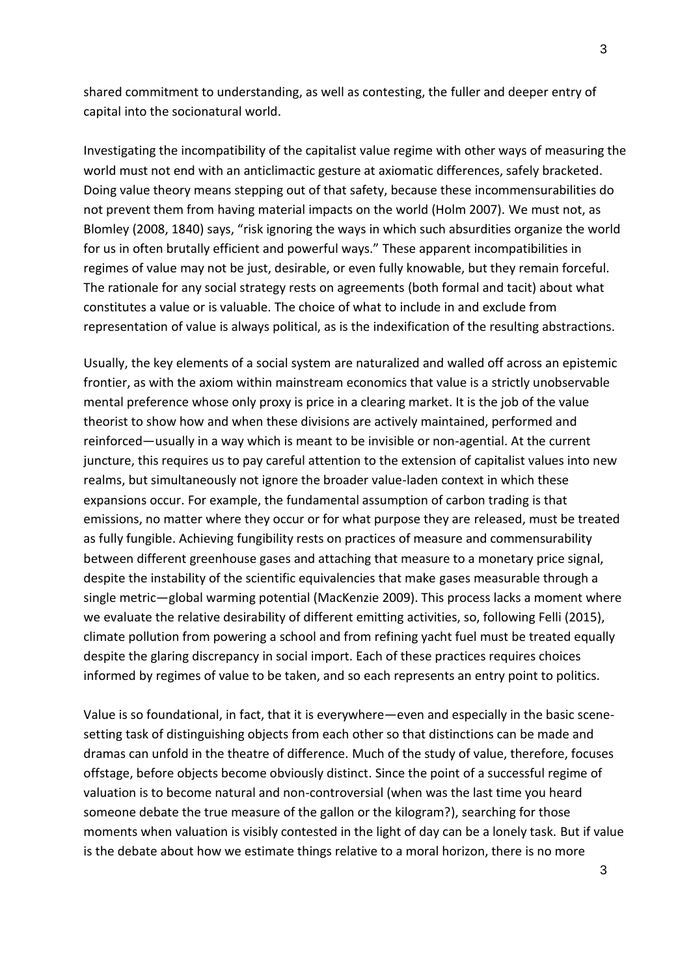shared commitment to understanding, as well as contesting, the fuller and deeper entry of capital into the socionatural world.

Investigating the incompatibility of the capitalist value regime with other ways of measuring the world must not end with an anticlimactic gesture at axiomatic differences, safely bracketed. Doing value theory means stepping out of that safety, because these incommensurabilities do not prevent them from having material impacts on the world (Holm 2007). We must not, as Blomley (2008, 1840) says, "risk ignoring the ways in which such absurdities organize the world for us in often brutally efficient and powerful ways." These apparent incompatibilities in regimes of value may not be just, desirable, or even fully knowable, but they remain forceful. The rationale for any social strategy rests on agreements (both formal and tacit) about what constitutes a value or is valuable. The choice of what to include in and exclude from representation of value is always political, as is the indexification of the resulting abstractions.

Usually, the key elements of a social system are naturalized and walled off across an epistemic frontier, as with the axiom within mainstream economics that value is a strictly unobservable mental preference whose only proxy is price in a clearing market. It is the job of the value theorist to show how and when these divisions are actively maintained, performed and reinforced—usually in a way which is meant to be invisible or non-agential. At the current juncture, this requires us to pay careful attention to the extension of capitalist values into new realms, but simultaneously not ignore the broader value-laden context in which these expansions occur. For example, the fundamental assumption of carbon trading is that emissions, no matter where they occur or for what purpose they are released, must be treated as fully fungible. Achieving fungibility rests on practices of measure and commensurability between different greenhouse gases and attaching that measure to a monetary price signal, despite the instability of the scientific equivalencies that make gases measurable through a single metric—global warming potential (MacKenzie 2009). This process lacks a moment where we evaluate the relative desirability of different emitting activities, so, following Felli (2015), climate pollution from powering a school and from refining yacht fuel must be treated equally despite the glaring discrepancy in social import. Each of these practices requires choices informed by regimes of value to be taken, and so each represents an entry point to politics.

Value is so foundational, in fact, that it is everywhere—even and especially in the basic scenesetting task of distinguishing objects from each other so that distinctions can be made and dramas can unfold in the theatre of difference. Much of the study of value, therefore, focuses offstage, before objects become obviously distinct. Since the point of a successful regime of valuation is to become natural and non-controversial (when was the last time you heard someone debate the true measure of the gallon or the kilogram?), searching for those moments when valuation is visibly contested in the light of day can be a lonely task. But if value is the debate about how we estimate things relative to a moral horizon, there is no more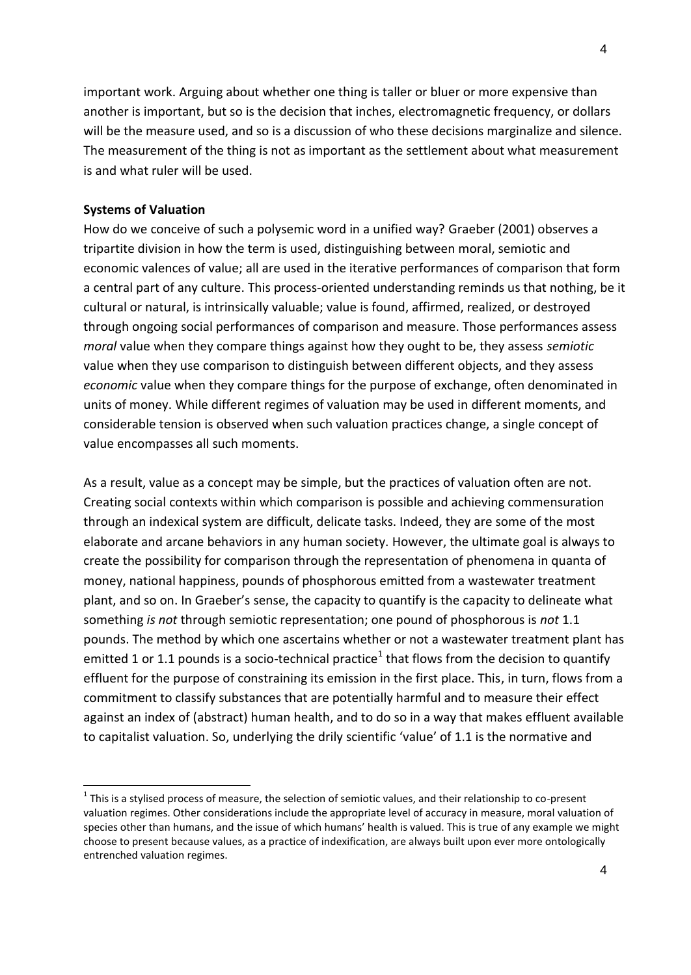important work. Arguing about whether one thing is taller or bluer or more expensive than another is important, but so is the decision that inches, electromagnetic frequency, or dollars will be the measure used, and so is a discussion of who these decisions marginalize and silence. The measurement of the thing is not as important as the settlement about what measurement is and what ruler will be used.

# **Systems of Valuation**

How do we conceive of such a polysemic word in a unified way? Graeber (2001) observes a tripartite division in how the term is used, distinguishing between moral, semiotic and economic valences of value; all are used in the iterative performances of comparison that form a central part of any culture. This process-oriented understanding reminds us that nothing, be it cultural or natural, is intrinsically valuable; value is found, affirmed, realized, or destroyed through ongoing social performances of comparison and measure. Those performances assess *moral* value when they compare things against how they ought to be, they assess *semiotic* value when they use comparison to distinguish between different objects, and they assess *economic* value when they compare things for the purpose of exchange, often denominated in units of money. While different regimes of valuation may be used in different moments, and considerable tension is observed when such valuation practices change, a single concept of value encompasses all such moments.

As a result, value as a concept may be simple, but the practices of valuation often are not. Creating social contexts within which comparison is possible and achieving commensuration through an indexical system are difficult, delicate tasks. Indeed, they are some of the most elaborate and arcane behaviors in any human society. However, the ultimate goal is always to create the possibility for comparison through the representation of phenomena in quanta of money, national happiness, pounds of phosphorous emitted from a wastewater treatment plant, and so on. In Graeber's sense, the capacity to quantify is the capacity to delineate what something *is not* through semiotic representation; one pound of phosphorous is *not* 1.1 pounds. The method by which one ascertains whether or not a wastewater treatment plant has emitted 1 or 1.1 pounds is a socio-technical practice<sup>1</sup> that flows from the decision to quantify effluent for the purpose of constraining its emission in the first place. This, in turn, flows from a commitment to classify substances that are potentially harmful and to measure their effect against an index of (abstract) human health, and to do so in a way that makes effluent available to capitalist valuation. So, underlying the drily scientific 'value' of 1.1 is the normative and

 $1$  This is a stylised process of measure, the selection of semiotic values, and their relationship to co-present valuation regimes. Other considerations include the appropriate level of accuracy in measure, moral valuation of species other than humans, and the issue of which humans' health is valued. This is true of any example we might choose to present because values, as a practice of indexification, are always built upon ever more ontologically entrenched valuation regimes.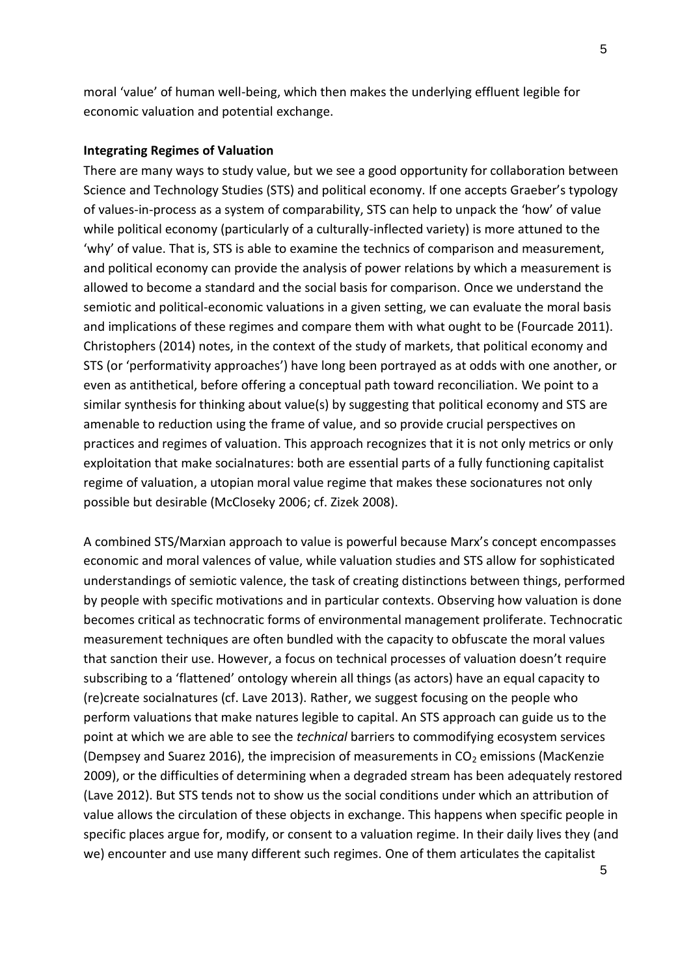moral 'value' of human well-being, which then makes the underlying effluent legible for economic valuation and potential exchange.

### **Integrating Regimes of Valuation**

There are many ways to study value, but we see a good opportunity for collaboration between Science and Technology Studies (STS) and political economy. If one accepts Graeber's typology of values-in-process as a system of comparability, STS can help to unpack the 'how' of value while political economy (particularly of a culturally-inflected variety) is more attuned to the 'why' of value. That is, STS is able to examine the technics of comparison and measurement, and political economy can provide the analysis of power relations by which a measurement is allowed to become a standard and the social basis for comparison. Once we understand the semiotic and political-economic valuations in a given setting, we can evaluate the moral basis and implications of these regimes and compare them with what ought to be (Fourcade 2011). Christophers (2014) notes, in the context of the study of markets, that political economy and STS (or 'performativity approaches') have long been portrayed as at odds with one another, or even as antithetical, before offering a conceptual path toward reconciliation. We point to a similar synthesis for thinking about value(s) by suggesting that political economy and STS are amenable to reduction using the frame of value, and so provide crucial perspectives on practices and regimes of valuation. This approach recognizes that it is not only metrics or only exploitation that make socialnatures: both are essential parts of a fully functioning capitalist regime of valuation, a utopian moral value regime that makes these socionatures not only possible but desirable (McCloseky 2006; cf. Zizek 2008).

A combined STS/Marxian approach to value is powerful because Marx's concept encompasses economic and moral valences of value, while valuation studies and STS allow for sophisticated understandings of semiotic valence, the task of creating distinctions between things, performed by people with specific motivations and in particular contexts. Observing how valuation is done becomes critical as technocratic forms of environmental management proliferate. Technocratic measurement techniques are often bundled with the capacity to obfuscate the moral values that sanction their use. However, a focus on technical processes of valuation doesn't require subscribing to a 'flattened' ontology wherein all things (as actors) have an equal capacity to (re)create socialnatures (cf. Lave 2013). Rather, we suggest focusing on the people who perform valuations that make natures legible to capital. An STS approach can guide us to the point at which we are able to see the *technical* barriers to commodifying ecosystem services (Dempsey and Suarez 2016), the imprecision of measurements in  $CO<sub>2</sub>$  emissions (MacKenzie 2009), or the difficulties of determining when a degraded stream has been adequately restored (Lave 2012). But STS tends not to show us the social conditions under which an attribution of value allows the circulation of these objects in exchange. This happens when specific people in specific places argue for, modify, or consent to a valuation regime. In their daily lives they (and we) encounter and use many different such regimes. One of them articulates the capitalist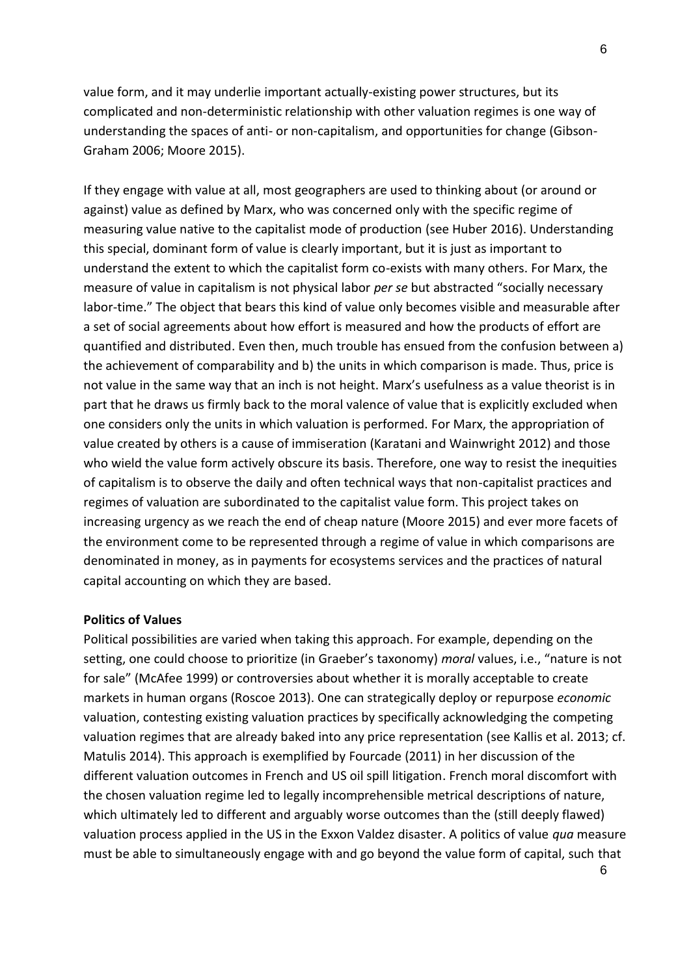value form, and it may underlie important actually-existing power structures, but its complicated and non-deterministic relationship with other valuation regimes is one way of understanding the spaces of anti- or non-capitalism, and opportunities for change (Gibson-Graham 2006; Moore 2015).

If they engage with value at all, most geographers are used to thinking about (or around or against) value as defined by Marx, who was concerned only with the specific regime of measuring value native to the capitalist mode of production (see Huber 2016). Understanding this special, dominant form of value is clearly important, but it is just as important to understand the extent to which the capitalist form co-exists with many others. For Marx, the measure of value in capitalism is not physical labor *per se* but abstracted "socially necessary labor-time." The object that bears this kind of value only becomes visible and measurable after a set of social agreements about how effort is measured and how the products of effort are quantified and distributed. Even then, much trouble has ensued from the confusion between a) the achievement of comparability and b) the units in which comparison is made. Thus, price is not value in the same way that an inch is not height. Marx's usefulness as a value theorist is in part that he draws us firmly back to the moral valence of value that is explicitly excluded when one considers only the units in which valuation is performed. For Marx, the appropriation of value created by others is a cause of immiseration (Karatani and Wainwright 2012) and those who wield the value form actively obscure its basis. Therefore, one way to resist the inequities of capitalism is to observe the daily and often technical ways that non-capitalist practices and regimes of valuation are subordinated to the capitalist value form. This project takes on increasing urgency as we reach the end of cheap nature (Moore 2015) and ever more facets of the environment come to be represented through a regime of value in which comparisons are denominated in money, as in payments for ecosystems services and the practices of natural capital accounting on which they are based.

# **Politics of Values**

Political possibilities are varied when taking this approach. For example, depending on the setting, one could choose to prioritize (in Graeber's taxonomy) *moral* values, i.e., "nature is not for sale" (McAfee 1999) or controversies about whether it is morally acceptable to create markets in human organs (Roscoe 2013). One can strategically deploy or repurpose *economic* valuation, contesting existing valuation practices by specifically acknowledging the competing valuation regimes that are already baked into any price representation (see Kallis et al. 2013; cf. Matulis 2014). This approach is exemplified by Fourcade (2011) in her discussion of the different valuation outcomes in French and US oil spill litigation. French moral discomfort with the chosen valuation regime led to legally incomprehensible metrical descriptions of nature, which ultimately led to different and arguably worse outcomes than the (still deeply flawed) valuation process applied in the US in the Exxon Valdez disaster. A politics of value *qua* measure must be able to simultaneously engage with and go beyond the value form of capital, such that

6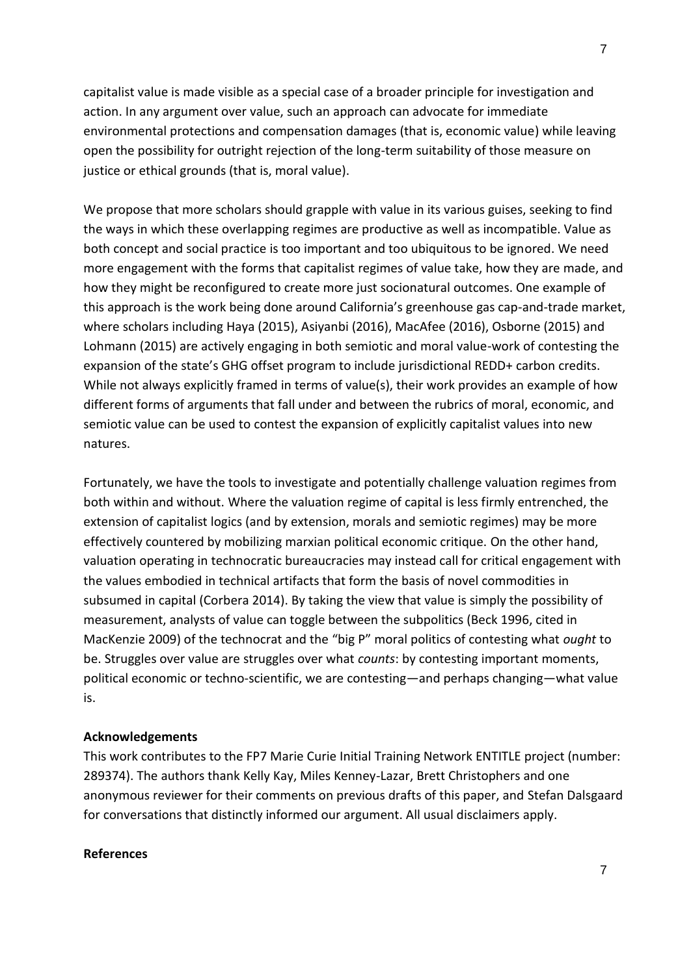capitalist value is made visible as a special case of a broader principle for investigation and action. In any argument over value, such an approach can advocate for immediate environmental protections and compensation damages (that is, economic value) while leaving open the possibility for outright rejection of the long-term suitability of those measure on justice or ethical grounds (that is, moral value).

We propose that more scholars should grapple with value in its various guises, seeking to find the ways in which these overlapping regimes are productive as well as incompatible. Value as both concept and social practice is too important and too ubiquitous to be ignored. We need more engagement with the forms that capitalist regimes of value take, how they are made, and how they might be reconfigured to create more just socionatural outcomes. One example of this approach is the work being done around California's greenhouse gas cap-and-trade market, where scholars including Haya (2015), Asiyanbi (2016), MacAfee (2016), Osborne (2015) and Lohmann (2015) are actively engaging in both semiotic and moral value-work of contesting the expansion of the state's GHG offset program to include jurisdictional REDD+ carbon credits. While not always explicitly framed in terms of value(s), their work provides an example of how different forms of arguments that fall under and between the rubrics of moral, economic, and semiotic value can be used to contest the expansion of explicitly capitalist values into new natures.

Fortunately, we have the tools to investigate and potentially challenge valuation regimes from both within and without. Where the valuation regime of capital is less firmly entrenched, the extension of capitalist logics (and by extension, morals and semiotic regimes) may be more effectively countered by mobilizing marxian political economic critique. On the other hand, valuation operating in technocratic bureaucracies may instead call for critical engagement with the values embodied in technical artifacts that form the basis of novel commodities in subsumed in capital (Corbera 2014). By taking the view that value is simply the possibility of measurement, analysts of value can toggle between the subpolitics (Beck 1996, cited in MacKenzie 2009) of the technocrat and the "big P" moral politics of contesting what *ought* to be. Struggles over value are struggles over what *counts*: by contesting important moments, political economic or techno-scientific, we are contesting—and perhaps changing—what value is.

# **Acknowledgements**

This work contributes to the FP7 Marie Curie Initial Training Network ENTITLE project (number: 289374). The authors thank Kelly Kay, Miles Kenney-Lazar, Brett Christophers and one anonymous reviewer for their comments on previous drafts of this paper, and Stefan Dalsgaard for conversations that distinctly informed our argument. All usual disclaimers apply.

# **References**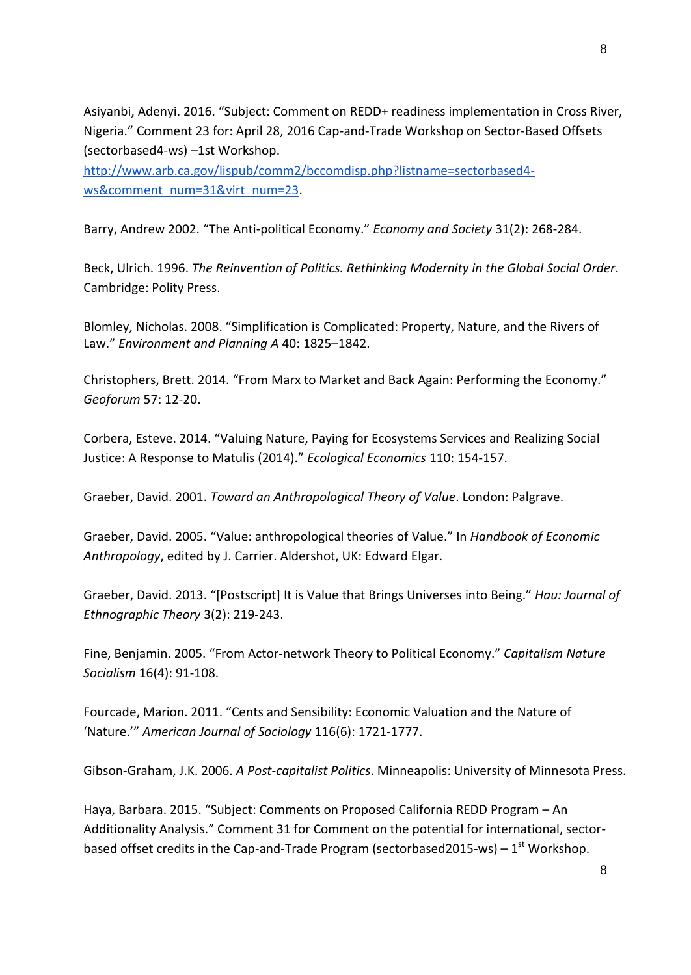Asiyanbi, Adenyi. 2016. "Subject: Comment on REDD+ readiness implementation in Cross River, Nigeria." Comment 23 for: April 28, 2016 Cap-and-Trade Workshop on Sector-Based Offsets (sectorbased4-ws) –1st Workshop.

[http://www.arb.ca.gov/lispub/comm2/bccomdisp.php?listname=sectorbased4](http://www.arb.ca.gov/lispub/comm2/bccomdisp.php?listname=sectorbased4-ws&comment_num=31&virt_num=23) [ws&comment\\_num=31&virt\\_num=23.](http://www.arb.ca.gov/lispub/comm2/bccomdisp.php?listname=sectorbased4-ws&comment_num=31&virt_num=23)

Barry, Andrew 2002. "The Anti-political Economy." *Economy and Society* 31(2): 268-284.

Beck, Ulrich. 1996. *The Reinvention of Politics. Rethinking Modernity in the Global Social Order*. Cambridge: Polity Press.

Blomley, Nicholas. 2008. "Simplification is Complicated: Property, Nature, and the Rivers of Law." *Environment and Planning A* 40: 1825–1842.

Christophers, Brett. 2014. "From Marx to Market and Back Again: Performing the Economy." *Geoforum* 57: 12-20.

Corbera, Esteve. 2014. "Valuing Nature, Paying for Ecosystems Services and Realizing Social Justice: A Response to Matulis (2014)." *Ecological Economics* 110: 154-157.

Graeber, David. 2001. *Toward an Anthropological Theory of Value*. London: Palgrave.

Graeber, David. 2005. "Value: anthropological theories of Value." In *Handbook of Economic Anthropology*, edited by J. Carrier. Aldershot, UK: Edward Elgar.

Graeber, David. 2013. "[Postscript] It is Value that Brings Universes into Being." *Hau: Journal of Ethnographic Theory* 3(2): 219-243.

Fine, Benjamin. 2005. "From Actor-network Theory to Political Economy." *Capitalism Nature Socialism* 16(4): 91-108.

Fourcade, Marion. 2011. "Cents and Sensibility: Economic Valuation and the Nature of 'Nature.'" *American Journal of Sociology* 116(6): 1721-1777.

Gibson-Graham, J.K. 2006. *A Post-capitalist Politics*. Minneapolis: University of Minnesota Press.

Haya, Barbara. 2015. "Subject: Comments on Proposed California REDD Program – An Additionality Analysis." Comment 31 for Comment on the potential for international, sectorbased offset credits in the Cap-and-Trade Program (sectorbased2015-ws) –  $1<sup>st</sup>$  Workshop.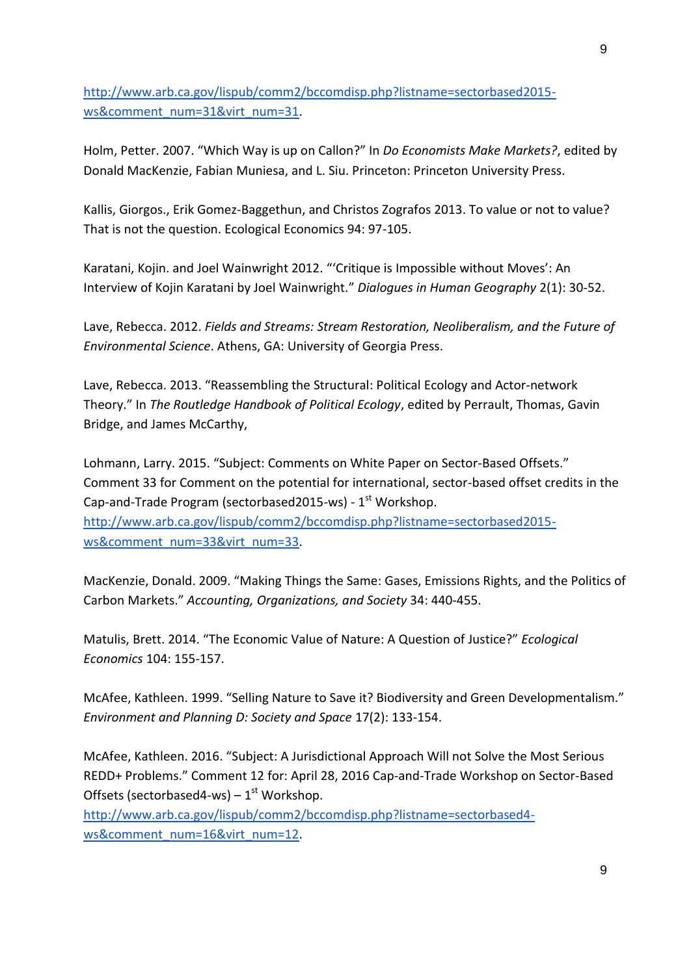[http://www.arb.ca.gov/lispub/comm2/bccomdisp.php?listname=sectorbased2015](http://www.arb.ca.gov/lispub/comm2/bccomdisp.php?listname=sectorbased2015-ws&comment_num=31&virt_num=31) [ws&comment\\_num=31&virt\\_num=31.](http://www.arb.ca.gov/lispub/comm2/bccomdisp.php?listname=sectorbased2015-ws&comment_num=31&virt_num=31)

Holm, Petter. 2007. "Which Way is up on Callon?" In *Do Economists Make Markets?*, edited by Donald MacKenzie, Fabian Muniesa, and L. Siu. Princeton: Princeton University Press.

Kallis, Giorgos., Erik Gomez-Baggethun, and Christos Zografos 2013. To value or not to value? That is not the question. Ecological Economics 94: 97-105.

Karatani, Kojin. and Joel Wainwright 2012. "'Critique is Impossible without Moves': An Interview of Kojin Karatani by Joel Wainwright." *Dialogues in Human Geography* 2(1): 30-52.

Lave, Rebecca. 2012. *Fields and Streams: Stream Restoration, Neoliberalism, and the Future of Environmental Science*. Athens, GA: University of Georgia Press.

Lave, Rebecca. 2013. "Reassembling the Structural: Political Ecology and Actor-network Theory." In *The Routledge Handbook of Political Ecology*, edited by Perrault, Thomas, Gavin Bridge, and James McCarthy,

Lohmann, Larry. 2015. "Subject: Comments on White Paper on Sector-Based Offsets." Comment 33 for Comment on the potential for international, sector-based offset credits in the Cap-and-Trade Program (sectorbased2015-ws) - 1<sup>st</sup> Workshop.

[http://www.arb.ca.gov/lispub/comm2/bccomdisp.php?listname=sectorbased2015](http://www.arb.ca.gov/lispub/comm2/bccomdisp.php?listname=sectorbased2015-ws&comment_num=33&virt_num=33) [ws&comment\\_num=33&virt\\_num=33.](http://www.arb.ca.gov/lispub/comm2/bccomdisp.php?listname=sectorbased2015-ws&comment_num=33&virt_num=33)

MacKenzie, Donald. 2009. "Making Things the Same: Gases, Emissions Rights, and the Politics of Carbon Markets." *Accounting, Organizations, and Society* 34: 440-455.

Matulis, Brett. 2014. "The Economic Value of Nature: A Question of Justice?" *Ecological Economics* 104: 155-157.

McAfee, Kathleen. 1999. "Selling Nature to Save it? Biodiversity and Green Developmentalism." *Environment and Planning D: Society and Space* 17(2): 133-154.

McAfee, Kathleen. 2016. "Subject: A Jurisdictional Approach Will not Solve the Most Serious REDD+ Problems." Comment 12 for: April 28, 2016 Cap-and-Trade Workshop on Sector-Based Offsets (sectorbased4-ws) –  $1<sup>st</sup>$  Workshop.

[http://www.arb.ca.gov/lispub/comm2/bccomdisp.php?listname=sectorbased4](http://www.arb.ca.gov/lispub/comm2/bccomdisp.php?listname=sectorbased4-ws&comment_num=16&virt_num=12) [ws&comment\\_num=16&virt\\_num=12.](http://www.arb.ca.gov/lispub/comm2/bccomdisp.php?listname=sectorbased4-ws&comment_num=16&virt_num=12)